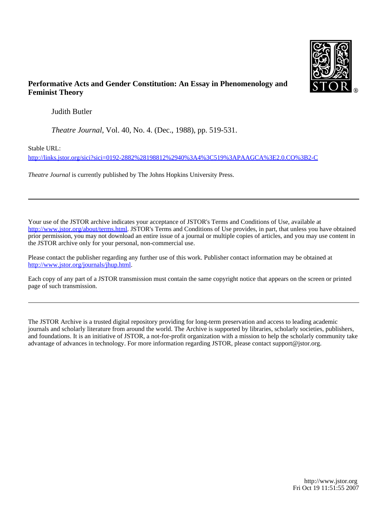

## **Performative Acts and Gender Constitution: An Essay in Phenomenology and Feminist Theory**

Judith Butler

*Theatre Journal*, Vol. 40, No. 4. (Dec., 1988), pp. 519-531.

Stable URL:

<http://links.jstor.org/sici?sici=0192-2882%28198812%2940%3A4%3C519%3APAAGCA%3E2.0.CO%3B2-C>

*Theatre Journal* is currently published by The Johns Hopkins University Press.

Your use of the JSTOR archive indicates your acceptance of JSTOR's Terms and Conditions of Use, available at [http://www.jstor.org/about/terms.html.](http://www.jstor.org/about/terms.html) JSTOR's Terms and Conditions of Use provides, in part, that unless you have obtained prior permission, you may not download an entire issue of a journal or multiple copies of articles, and you may use content in the JSTOR archive only for your personal, non-commercial use.

Please contact the publisher regarding any further use of this work. Publisher contact information may be obtained at <http://www.jstor.org/journals/jhup.html>.

Each copy of any part of a JSTOR transmission must contain the same copyright notice that appears on the screen or printed page of such transmission.

The JSTOR Archive is a trusted digital repository providing for long-term preservation and access to leading academic journals and scholarly literature from around the world. The Archive is supported by libraries, scholarly societies, publishers, and foundations. It is an initiative of JSTOR, a not-for-profit organization with a mission to help the scholarly community take advantage of advances in technology. For more information regarding JSTOR, please contact support@jstor.org.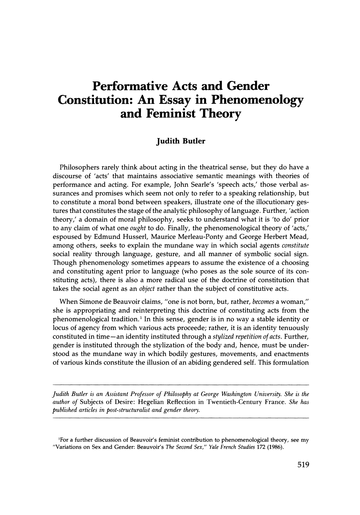# **Performative Acts and Gender Constitution: An Essay in Phenomenology and Feminist Theory**

### **Judith Butler**

Philosophers rarely think about acting in the theatrical sense, but they do have a discourse of 'acts' that maintains associative semantic meanings with theories of performance and acting. For example, John Searle's 'speech acts,' those verbal assurances and promises which seem not only to refer to a speaking relationship, but to constitute a moral bond between speakers, illustrate one of the illocutionary gestures that constitutes the stage of the analytic philosophy of language. Further, 'action theory,' a domain of moral philosophy, seeks to understand what it is 'to do' prior to any claim of what one *ought* to do. Finally, the phenomenological theory of 'acts,' espoused by Edmund Husserl, Maurice Merleau-Ponty and George Herbert Mead, among others, seeks to explain the mundane way in which social agents *constitute*  social reality through language, gesture, and all manner of symbolic social sign. Though phenomenology sometimes appears to assume the existence of a choosing and constituting agent prior to language (who poses as the sole source of its constituting acts), there is also a more radical use of the doctrine of constitution that takes the social agent as an *object* rather than the subject of constitutive acts.

When Simone de Beauvoir claims, "one is not born, but, rather, *becomes* a woman," she is appropriating and reinterpreting this doctrine of constituting acts from the phenomenological tradition.' In this sense, gender is in no way a stable identity or locus of agency from which various acts proceede; rather, it is an identity tenuously constituted in time-an identity instituted through a *stylized repetition* of *acts.* Further, gender is instituted through the stylization of the body and, hence, must be understood as the mundane way in which bodily gestures, movements, and enactments of various kinds constitute the illusion of an abiding gendered self. This formulation

*Judith Butler is an Assistant Professor of Philosophy at George Washington University. She is the author of* Subjects of Desire: Hegelian Reflection in Twentieth-Century France. *She has published articles in post-structuralist and gender theory.* 

<sup>&#</sup>x27;For a further discussion of Beauvoir's feminist contribution to phenomenological theory, see my "Variations on Sex and Gender: Beauvoir's *The Second Sex," Yale French Studies 172 (1986).*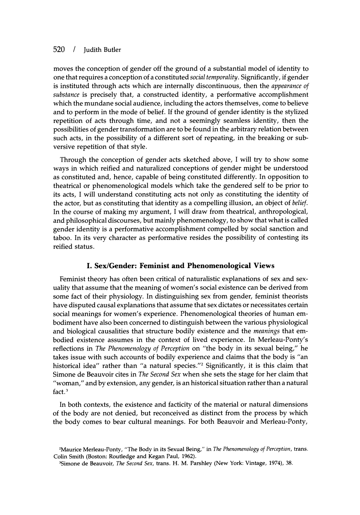moves the conception of gender off the ground of a substantial model of identity to one that requires a conception of a constituted *social temporality.* Significantly, if gender is instituted through acts which are internally discontinuous, then the *appearance of substance* is precisely that, a constructed identity, a performative accomplishment which the mundane social audience, including the actors themselves, come to believe and to perform in the mode of belief. If the ground of gender identity is the stylized repetition of acts through time, and not a seemingly seamless identity, then the possibilities of gender transformation are to be found in the arbitrary relation between such acts, in the possibility of a different sort of repeating, in the breaking or subversive repetition of that style.

Through the conception of gender acts sketched above, I will try to show some ways in which reified and naturalized conceptions of gender might be understood as constituted and, hence, capable of being constituted differently. In opposition to theatrical or phenomenological models which take the gendered self to be prior to its acts, I will understand constituting acts not only as constituting the identity of the actor, but as constituting that identity as a compelling illusion, an object of *belief.*  In the course of making my argument, I will draw from theatrical, anthropological, and philosophical discourses, but mainly phenomenology, to show that what is called gender identity is a performative accomplishment compelled by social sanction and taboo. In its very character as performative resides the possibility of contesting its reified status.

#### **I. SexIGender: Feminist and Phenomenological Views**

Feminist theory has often been critical of naturalistic explanations of sex and sexuality that assume that the meaning of women's social existence can be derived from some fact of their physiology. In distinguishing sex from gender, feminist theorists have disputed causal explanations that assume that sex dictates or necessitates certain social meanings for women's experience. Phenomenological theories of human embodiment have also been concerned to distinguish between the various physiological and biological causalities that structure bodily existence and the *meanings* that embodied existence assumes in the context of lived experience. In Merleau-Ponty's reflections in *The Phenomenology of Perception* on "the body in its sexual being," he takes issue with such accounts of bodily experience and claims that the body is "an historical idea" rather than "a natural species."<sup>2</sup> Significantly, it is this claim that Simone de Beauvoir cites in *The Second Sex* when she sets the stage for her claim that "woman," and by extension, any gender, is an historical situation rather than a natural fact. $3$ 

In both contexts, the existence and facticity of the material or natural dimensions of the body are not denied, but reconceived as distinct from the process by which the body comes to bear cultural meanings. For both Beauvoir and Merleau-Ponty,

<sup>&</sup>lt;sup>2</sup>Maurice Merleau-Ponty, "The Body in its Sexual Being," in *The Phenomenology of Perception*, trans. Colin Smith (Boston: Routledge and Kegan Paul, 1962).

<sup>3</sup>Simone de Beauvoir, *The Second Sex,* trans. *H.* M. Parshley (New York: Vintage, 1974), 38.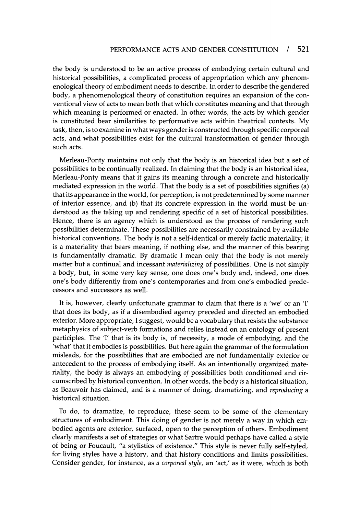the body is understood to be an active process of embodying certain cultural and historical possibilities, a complicated process of appropriation which any phenomenological theory of embodiment needs to describe. In order to describe the gendered body, a phenomenological theory of constitution requires an expansion of the conventional view of acts to mean both that which constitutes meaning and that through which meaning is performed or enacted. In other words, the acts by which gender is constituted bear similarities to performative acts within theatrical contexts. My task, then, is to examine in what ways gender is constructed through specific corporeal acts, and what possibilities exist for the cultural transformation of gender through such acts.

Merleau-Ponty maintains not only that the body is an historical idea but a set of possibilities to be continually realized. In claiming that the body is an historical idea, Merleau-Ponty means that it gains its meaning through a concrete and historically mediated expression in the world. That the body is a set of possibilities signifies (a) that its appearance in the world, for perception, is not predetermined by some manner of interior essence, and (b) that its concrete expression in the world must be understood as the taking up and rendering specific of a set of historical possibilities. Hence, there is an agency which is understood as the process of rendering such possibilities determinate. These possibilities are necessarily constrained by available historical conventions. The body is not a self-identical or merely factic materiality; it is a materiality that bears meaning, if nothing else, and the manner of this bearing is fundamentally dramatic. By dramatic I mean only that the body is not merely matter but a continual and incessant *materializing* of possibilities. One is not simply a body, but, in some very key sense, one does one's body and, indeed, one does one's body differently from one's contemporaries and from one's embodied predecessors and successors as well.

It is, however, clearly unfortunate grammar to claim that there is a 'we' or an 'I' that does its body, as if a disembodied agency preceded and directed an embodied exterior. More appropriate, I suggest, would be a vocabulary that resists the substance metaphysics of subject-verb formations and relies instead on an ontology of present participles. The 'I' that is its body is, of necessity, a mode of embodying, and the 'what' that it embodies is possibilities. But here again the grammar of the formulation misleads, for the possibilities that are embodied are not fundamentally exterior or antecedent to the process of embodying itself. As an intentionally organized materiality, the body is always an embodying *of* possibilities both conditioned and circumscribed by historical convention. In other words, the body is a historical situation, as Beauvoir has claimed, and is a manner of doing, dramatizing, and *reproducing* a historical situation.

To do, to dramatize, to reproduce, these seem to be some of the elementary structures of embodiment. This doing of gender is not merely a way in which embodied agents are exterior, surfaced, open to the perception of others. Embodiment clearly manifests a set of strategies or what Sartre would perhaps have called a style of being or Foucault, "a stylistics of existence." This style is never fully self-styled, for living styles have a history, and that history conditions and limits possibilities. Consider gender, for instance, as a *corporeal style,* an 'act,' as it were, which is both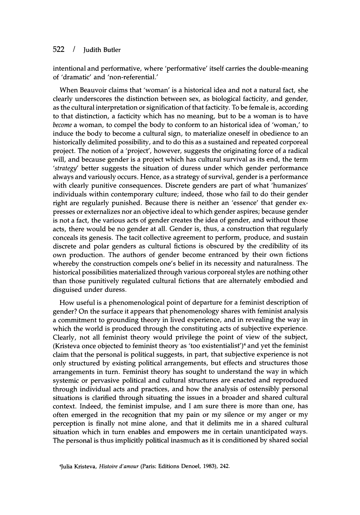intentional and performative, where 'performative' itself carries the double-meaning of 'dramatic' and 'non-referential.'

When Beauvoir claims that 'woman' is a historical idea and not a natural fact, she clearly underscores the distinction between sex, as biological facticity, and gender, as the cultural interpretation or signification of that facticity. To be female is, according to that distinction, a facticity which has no meaning, but to be a woman is to have *become* a woman, to compel the body to conform to an historical idea of 'woman,' to induce the body to become a cultural sign, to materialize oneself in obedience to an historically delimited possibility, and to do this as a sustained and repeated corporeal project. The notion of a 'project', however, suggests the originating force of a radical will, and because gender is a project which has cultural survival as its end, the term 'strategy' better suggests the situation of duress under which gender performance always and variously occurs. Hence, as a strategy of survival, gender is a performance with clearly punitive consequences. Discrete genders are part of what 'humanizes' individuals within contemporary culture; indeed, those who fail to do their gender right are regularly punished. Because there is neither an 'essence' that gender expresses or externalizes nor an objective ideal to which gender aspires; because gender is not a fact, the various acts of gender creates the idea of gender, and without those acts, there would be no gender at all. Gender is, thus, a construction that regularly conceals its genesis. The tacit collective agreement to perform, produce, and sustain discrete and polar genders as cultural fictions is obscured by the credibility of its own production. The authors of gender become entranced by their own fictions whereby the construction compels one's belief in its necessity and naturalness. The historical possibilities materialized through various corporeal styles are nothing other than those punitively regulated cultural fictions that are alternately embodied and disguised under duress.

How useful is a phenomenological point of departure for a feminist description of gender? On the surface it appears that phenomenology shares with feminist analysis a commitment to grounding theory in lived experience, and in revealing the way in which the world is produced through the constituting acts of subjective experience. Clearly, not all feminist theory would privilege the point of view of the subject, (Kristeva once objected to feminist theory as 'too existentialist')<sup>4</sup> and yet the feminist claim that the personal is political suggests, in part, that subjective experience is not only structured by existing political arrangements, but effects and structures those arrangements in turn. Feminist theory has sought to understand the way in which systemic or pervasive political and cultural structures are enacted and reproduced through individual acts and practices, and how the analysis of ostensibly personal situations is clarified through situating the issues in a broader and shared cultural context. Indeed, the feminist impulse, and I am sure there is more than one, has often emerged in the recognition that my pain or my silence or my anger or my perception is finally not mine alone, and that it delimits me in a shared cultural situation which in turn enables and empowers me in certain unanticipated ways. The personal is thus implicitly political inasmuch as it is conditioned by shared social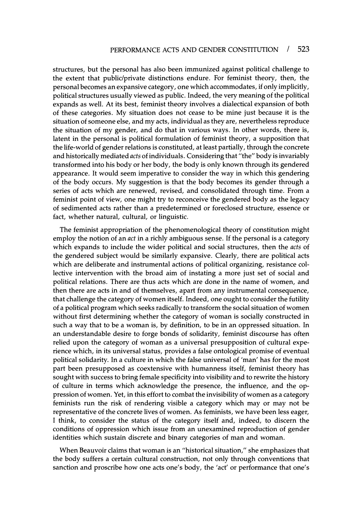structures, but the personal has also been immunized against political challenge to the extent that public/private distinctions endure. For feminist theory, then, the personal becomes an expansive category, one which accommodates, if only implicitly, political structures usually viewed as public. Indeed, the very meaning of the political expands as well. At its best, feminist theory involves a dialectical expansion of both of these categories. My situation does not cease to be mine just because it is the situation of someone else, and my acts, individual as they are, nevertheless reproduce the situation of my gender, and do that in various ways. In other words, there is, latent in the personal is political formulation of feminist theory, a supposition that the life-world of gender relations is constituted, at least partially, through the concrete and historically mediated *acts* of individuals. Considering that "the" body is invariably transformed into his body or her body, the body is only known through its gendered appearance. It would seem imperative to consider the way in which this gendering of the body occurs. My suggestion is that the body becomes its gender through a series of acts which are renewed, revised, and consolidated through time. From a feminist point of view, one might try to reconceive the gendered body as the legacy of sedimented acts rather than a predetermined or foreclosed structure, essence or fact, whether natural, cultural, or linguistic.

The feminist appropriation of the phenomenological theory of constitution might employ the notion of an *act* in a richly ambiguous sense. If the personal is a category which expands to include the wider political and social structures, then the acts of the gendered subject would be similarly expansive. Clearly, there are political acts which are deliberate and instrumental actions of political organizing, resistance collective intervention with the broad aim of instating a more just set of social and political relations. There are thus acts which are done in the name of women, and then there are acts in and of themselves, apart from any instrumental consequence, that challenge the category of women itself. Indeed, one ought to consider the futility of a political program which seeks radically to transform the social situation of women without first determining whether the category of woman is socially constructed in such a way that to be a woman is, by definition, to be in an oppressed situation. In an understandable desire to forge bonds of solidarity, feminist discourse has often relied upon the category of woman as a universal presupposition of cultural experience which, in its universal status, provides a false ontological promise of eventual political solidarity. In a culture in which the false universal of 'man' has for the most part been presupposed as coextensive with humanness itself, feminist theory has sought with success to bring female specificity into visibility and to rewrite the history of culture in terms which acknowledge the presence, the influence, and the oppression of women. Yet, in this effort to combat the invisibility of women as a category feminists run the risk of rendering visible a category which may or may not be representative of the concrete lives of women. As feminists, we have been less eager, I think, to consider the status of the category itself and, indeed, to discern the conditions of oppression which issue from an unexamined reproduction of gender identities which sustain discrete and binary categories of man and woman.

When Beauvoir claims that woman is an "historical situation," she emphasizes that the body suffers a certain cultural construction, not only through conventions that sanction and proscribe how one acts one's body, the 'act' or performance that one's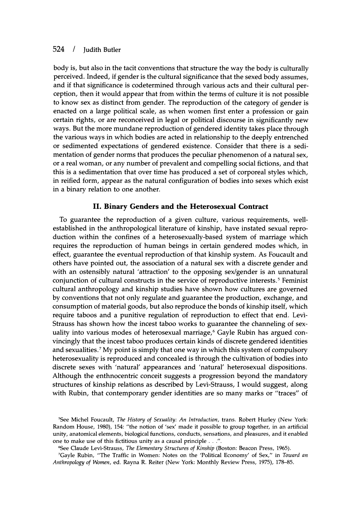body is, but also in the tacit conventions that structure the way the body is culturally perceived. Indeed, if gender is the cultural significance that the sexed body assumes, and if that significance is codetermined through various acts and their cultural perception, then it would appear that from within the terms of culture it is not possible to know sex as distinct from gender. The reproduction of the category of gender is enacted on a large political scale, as when women first enter a profession or gain certain rights, or are reconceived in legal or political discourse in significantly new ways. But the more mundane reproduction of gendered identity takes place through the various ways in which bodies are acted in relationship to the deeply entrenched or sedimented expectations of gendered existence. Consider that there is a sedimentation of gender norms that produces the peculiar phenomenon of a natural sex, or a real woman, or any number of prevalent and compelling social fictions, and that this is a sedimentation that over time has produced a set of corporeal styles which, in reified form, appear as the natural configuration of bodies into sexes which exist in a binary relation to one another.

#### **11. Binary Genders and the Heterosexual Contract**

To guarantee the reproduction of a given culture, various requirements, wellestablished in the anthropological literature of kinship, have instated sexual reproduction within the confines of a heterosexually-based system of marriage which requires the reproduction of human beings in certain gendered modes which, in effect, guarantee the eventual reproduction of that kinship system. As Foucault and others have pointed out, the association of a natural sex with a discrete gender and with an ostensibly natural 'attraction' to the opposing sex/gender is an unnatural conjunction of cultural constructs in the service of reproductive interest^.^ Feminist cultural anthropology and kinship studies have shown how cultures are governed by conventions that not only regulate and guarantee the production, exchange, and consumption of material goods, but also reproduce the bonds of kinship itself, which require taboos and a punitive regulation of reproduction to effect that end. Levi-Strauss has shown how the incest taboo works to guarantee the channeling of sexuality into various modes of heterosexual marriage,<sup>6</sup> Gayle Rubin has argued convincingly that the incest taboo produces certain kinds of discrete gendered identities and sexualities.<sup>7</sup> My point is simply that one way in which this system of compulsory heterosexuality is reproduced and concealed is through the cultivation of bodies into discrete sexes with 'natural' appearances and 'natural' heterosexual dispositions. Although the enthnocentric conceit suggests a progression beyond the mandatory structures of kinship relations as described by Levi-Strauss, I would suggest, along with Rubin, that contemporary gender identities are so many marks or "traces" of

<sup>&#</sup>x27;See Michel Foucault, *The History of Sexuality: An Introduction,* trans. Robert Hurley (New York: Random House, 1980), 154: "the notion of 'sex' made it possible to group together, in an artificial unity, anatomical elements, biological functions, conducts, sensations, and pleasures, and it enabled one to make use of this fictitious unity as a causal principle . . .".

<sup>%</sup>ee Claude Levi-Strauss, *The Elementary Structures of Kinship* (Boston: Beacon Press, 1965).

<sup>&#</sup>x27;Gayle Rubin, "The Traffic in Women: Notes on the 'Political Economy' of Sex," in *Toward an Anthropology of Women,* ed. Rayna R. Reiter (New York: Monthly Review Press, 1975), 178-85.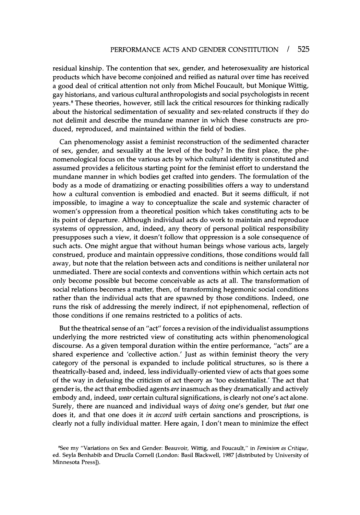residual kinship. The contention that sex, gender, and heterosexuality are historical products which have become conjoined and reified as natural over time has received a good deal of critical attention not only from Michel Foucault, but Monique Wittig, gay historians, and various cultural anthropologists and social psychologists in recent years.8 These theories, however, still lack the critical resources for thinking radically about the historical sedimentation of sexuality and sex-related constructs if they do not delimit and describe the mundane manner in which these constructs are produced, reproduced, and maintained within the field of bodies.

Can phenomenology assist a feminist reconstruction of the sedimented character of sex, gender, and sexuality at the level of the body? In the first place, the phenomenological focus on the various acts by which cultural identity is constituted and assumed provides a felicitous starting point for the feminist effort to understand the mundane manner in which bodies get crafted into genders. The formulation of the body as a mode of dramatizing or enacting possibilities offers a way to understand how a cultural convention is embodied and enacted. But it seems difficult, if not impossible, to imagine a way to conceptualize the scale and systemic character of women's oppression from a theoretical position which takes constituting acts to be its point of departure. Although individual acts do work to maintain and reproduce systems of oppression, and, indeed, any theory of personal political responsibility presupposes such a view, it doesn't follow that oppression is a sole consequence of such acts. One might argue that without human beings whose various acts, largely construed, produce and maintain oppressive conditions, those conditions would fall away, but note that the relation between acts and conditions is neither unilateral nor unmediated. There are social contexts and conventions within which certain acts not only become possible but become conceivable as acts at all. The transformation of social relations becomes a matter, then, of transforming hegemonic social conditions rather than the individual acts that are spawned by those conditions. Indeed, one runs the risk of addressing the merely indirect, if not epiphenomenal, reflection of those conditions if one remains restricted to a politics of acts.

But the theatrical sense of an "act" forces a revision of the individualist assumptions underlying the more restricted view of constituting acts within phenomenological discourse. As a given temporal duration within the entire performance, "acts" are a shared experience and 'collective action.' Just as within feminist theory the very category of the personal is expanded to include political structures, so is there a theatrically-based and, indeed, less individually-oriented view of acts that goes some of the way in defusing the criticism of act theory as 'too existentialist.' The act that gender is, the act that embodied agents *are* inasmuch as they dramatically and actively embody and, indeed, *wear* certain cultural significations, is clearly not one's act alone. Surely, there are nuanced and individual ways of *doing* one's gender, but *that* one does it, and that one does it in *accord with* certain sanctions and proscriptions, is clearly not a fully individual matter. Here again, I don't mean to minimize the effect

<sup>&#</sup>x27;See my "Variations on Sex and Gender: Beauvoir, Wittig, and Foucault," in *Feminism as* Critique, ed. Seyla Benhabib and Drucila Cornell (London: Basil Blackwell, 1987 [distributed by University of Minnesota Press]).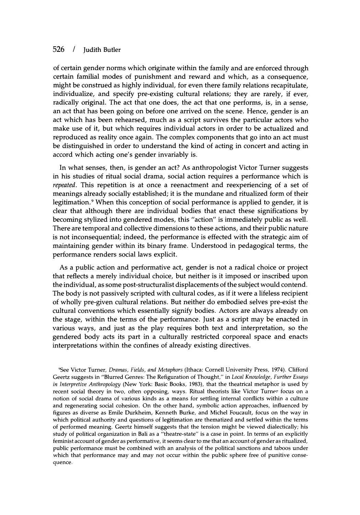of certain gender norms which originate within the family and are enforced through certain familial modes of punishment and reward and which, as a consequence, might be construed as highly individual, for even there family relations recapitulate, individualize, and specify pre-existing cultural relations; they are rarely, if ever, radically original. The act that one does, the act that one performs, is, in a sense, an act that has been going on before one arrived on the scene. Hence, gender is an act which has been rehearsed, much as a script survives the particular actors who make use of it, but which requires individual actors in order to be actualized and reproduced as reality once again. The complex components that go into an act must be distinguished in order to understand the kind of acting in concert and acting in accord which acting one's gender invariably is.

In what senses, then, is gender an act? As anthropologist Victor Turner suggests in his studies of ritual social drama, social action requires a performance which is repeated. This repetition is at once a reenactment and reexperiencing of a set of meanings already socially established; it is the mundane and ritualized form of their legitimation.<sup>9</sup> When this conception of social performance is applied to gender, it is clear that although there are individual bodies that enact these significations by becoming stylized into gendered modes, this "action" is immediately public as well. There are temporal and collective dimensions to these actions, and their public nature is not inconsequential; indeed, the performance is effected with the strategic aim of maintaining gender within its binary frame. Understood in pedagogical terms, the performance renders social laws explicit.

As a public action and performative act, gender is not a radical choice or project that reflects a merely individual choice, but neither is it imposed or inscribed upon the individual, as some post-structuralist displacements of the subject would contend. The body is not passively scripted with cultural codes, as if it were a lifeless recipient of wholly pre-given cultural relations. But neither do embodied selves pre-exist the cultural conventions which essentially signify bodies. Actors are always already on the stage, within the terms of the performance. Just as a script may be enacted in various ways, and just as the play requires both text and interpretation, so the gendered body acts its part in a culturally restricted corporeal space and enacts interpretations within the confines of already existing directives.

ySee Victor Turner, *Dramas, Fields, and Metaphors* (Ithaca: Cornell University Press, 1974). Clifford Geertz suggests in "Blurred Genres: The Refiguration of Thought," in *Local Knowledge, Further Essays in Interpretive Anthropology* (New York: Basic Books, 1983), that the theatrical metaphor is used by recent social theory in two, often opposing, ways. Ritual theorists like Victor Turner focus on a notion of social drama of various kinds as a means for settling internal conflicts within a culture and regenerating social cohesion. On the other hand, symbolic action approaches, influenced by figures as diverse as Emile Durkheim, Kenneth Burke, and Michel Foucault, focus on the way in which political authority and questions of legitimation are thematized and settled within the terms of performed meaning. Geertz himself suggests that the tension might be viewed dialectically; his study of political organization in Bali as a "theatre-state" is a case in point. In terms of an explicitly feminist account of gender as performative, it seems clear to me that an account of gender as ritualized, public performance must be combined with an analysis of the political sanctions and taboos under which that performance may and may not occur within the public sphere free of punitive consequence.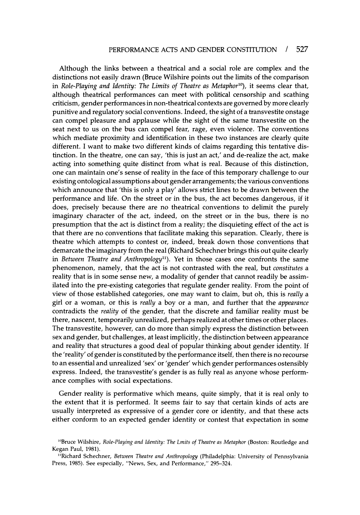Although the links between a theatrical and a social role are complex and the distinctions not easily drawn (Bruce Wilshire points out the limits of the comparison in *Role-Playing and Identity: The Limits of Theatre as Metaphor<sup>10</sup>), it seems clear that,* although theatrical performances can meet with political censorship and scathing criticism, gender performances in non-theatrical contexts are governed by more clearly punitive and regulatory social conventions. Indeed, the sight of a transvestite onstage can compel pleasure and applause while the sight of the same transvestite on the seat next to us on the bus can compel fear, rage, even violence. The conventions which mediate proximity and identification in these two instances are clearly quite different. I want to make two different kinds of claims regarding this tentative distinction. In the theatre, one can say, 'this is just an act,' and de-realize the act, make acting into something quite distinct from what is real. Because of this distinction, one can maintain one's sense of reality in the face of this temporary challenge to our existing ontological assumptions about gender arrangements; the various conventions which announce that 'this is only a play' allows strict lines to be drawn between the performance and life. On the street or in the bus, the act becomes dangerous, if it does, precisely because there are no theatrical conventions to delimit the purely imaginary character of the act, indeed, on the street or in the bus, there is no presumption that the act is distinct from a reality; the disquieting effect of the act is that there are no conventions that facilitate making this separation. Clearly, there is theatre which attempts to contest or, indeed, break down those conventions that demarcate the imaginary from the real (Richard Schechner brings this out quite clearly in *Between Theatre and Anthropology").* Yet in those cases one confronts the same phenomenon, namely, that the act is not contrasted with the real, but *constitutes* a reality that is in some sense new, a modality of gender that cannot readily be assimilated into the pre-existing categories that regulate gender reality. From the point of view of those established categories, one may want to claim, but oh, this is *really* a girl or a woman, or this is *really* a boy or a man, and further that the *appearance*  contradicts the *reality* of the gender, that the discrete and familiar reality must be there, nascent, temporarily unrealized, perhaps realized at other times or other places. The transvestite, however, can do more than simply express the distinction between sex and gender, but challenges, at least implicitly, the distinction between appearance and reality that structures a good deal of popular thinking about gender identity. If the 'reality' of gender is constituted by the performance itself, then there is no recourse to an essential and unrealized 'sex' or 'gender' which gender performances ostensibly express. Indeed, the transvestite's gender is as fully real as anyone whose performance complies with social expectations.

Gender reality is performative which means, quite simply, that it is real only to the extent that it is performed. It seems fair to say that certain kinds of acts are usually interpreted as expressive of a gender core or identity, and that these acts either conform to an expected gender identity or contest that expectation in some

<sup>&</sup>lt;sup>10</sup>Bruce Wilshire, *Role-Playing and Identity: The Lmits of Theatre as Metaphor (Boston: Routledge and* Kegan Paul, 1981).

<sup>&</sup>quot;fichard Schechner, *Between Theatre and Anthropology* (Philadelphia: University of Pennsylvania Press, 1985). See especially, "News, Sex, and Performance," 295-324.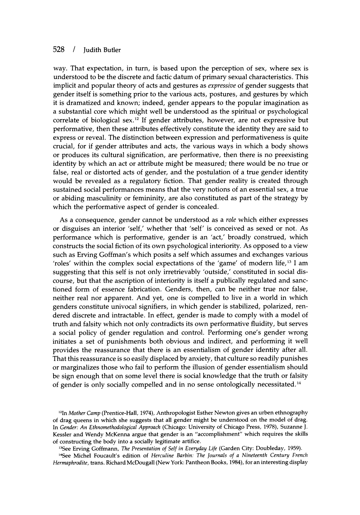way. That expectation, in turn, is based upon the perception of sex, where sex is understood to be the discrete and factic datum of primary sexual characteristics. This implicit and popular theory of acts and gestures as *expressive* of gender suggests that gender itself is something prior to the various acts, postures, and gestures by which it is dramatized and known; indeed, gender appears to the popular imagination as a substantial core which might well be understood as the spiritual or psychological correlate of biological sex.<sup>12</sup> If gender attributes, however, are not expressive but performative, then these attributes effectively constitute the identity they are said to express or reveal. The distinction between expression and performativeness is quite crucial, for if gender attributes and acts, the various ways in which a body shows or produces its cultural signification, are performative, then there is no preexisting identity by which an act or attribute might be measured; there would be no true or false, real or distorted acts of gender, and the postulation of a true gender identity would be revealed as a regulatory fiction. That gender reality is created through sustained social performances means that the very notions of an essential sex, a true or abiding masculinity or femininity, are also constituted as part of the strategy by which the performative aspect of gender is concealed.

As a consequence, gender cannot be understood as a *role* which either expresses or disguises an interior 'self,' whether that 'self' is conceived as sexed or not. As performance which is performative, gender is an 'act,' broadly construed, which constructs the social fiction of its own psychological interiority. As opposed to a view such as Erving Goffman's which posits a self which assumes and exchanges various 'roles' within the complex social expectations of the 'game' of modern life, $13$  I am suggesting that this self is not only irretrievably 'outside,' constituted in social discourse, but that the ascription of interiority is itself a publically regulated and sanctioned form of essence fabrication. Genders, then, can be neither true nor false, neither real nor apparent. And yet, one is compelled to live in a world in which genders constitute univocal signifiers, in which gender is stabilized, polarized, rendered discrete and intractable. In effect, gender is made to comply with a model of truth and falsity which not only contradicts its own performative fluidity, but serves a social policy of gender regulation and control. Performing one's gender wrong initiates a set of punishments both obvious and indirect, and performing it well provides the reassurance that there is an essentialism of gender identity after all. That this reassurance is so easily displaced by anxiety, that culture so readily punishes or marginalizes those who fail to perform the illusion of gender essentialism should be sign enough that on some level there is social knowledge that the truth or falsity of gender is only socially compelled and in no sense ontologically necessitated.14

<sup>12</sup>In Mother Camp (Prentice-Hall, 1974), Anthropologist Esther Newton gives an urben ethnography of drag queens in which she suggests that all gender might be understood on the model of drag. In *Gender: An Ethnomethodological Approach* (Chicago: University of Chicago Press, 1978), Suzanne J. Kessler and Wendy McKenna argue that gender is an "accomplishment" which requires the skills of constructing the body into a socially legitimate artifice.

"See Erving Goffmann, *The Presentation of Self in Everyday Life* (Garden City: Doubleday, 1959).

14See Michel Foucault's edition of *Herculine Barbin: The Iournals of a Nineteenth Century French Hermaphrodite,* trans. Richard McDougall (New York: Pantheon Books, 1984), for an interesting display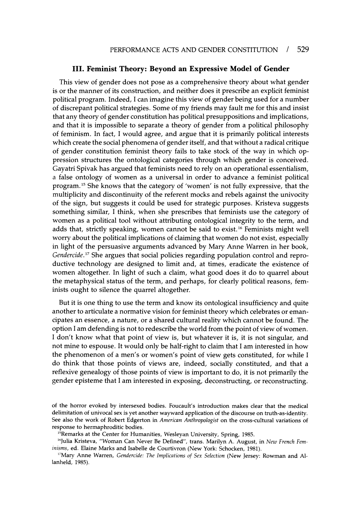#### **111. Feminist Theory: Beyond an Expressive Model of Gender**

This view of gender does not pose as a comprehensive theory about what gender is or the manner of its construction, and neither does it prescribe an explicit feminist political program. Indeed, I can imagine this view of gender being used for a number of discrepant political strategies. Some of my friends may fault me for this and insist that any theory of gender constitution has political presuppositions and implications, and that it is impossible to separate a theory of gender from a political philosophy of feminism. In fact, I would agree, and argue that it is primarily political interests which create the social phenomena of gender itself, and that without a radical critique of gender constitution feminist theory fails to take stock of the way in which oppression structures the ontological categories through which gender is conceived. Gayatri Spivak has argued that feminists need to rely on an operational essentialism, a false ontology of women as a universal in order to advance a feminist political program.I5 She knows that the category of 'women' is not fully expressive, that the multiplicity and discontinuity of the referent mocks and rebels against the univocity of the sign, but suggests it could be used for strategic purposes. Kristeva suggests something similar, I think, when she prescribes that feminists use the category of women as a political tool without attributing ontological integrity to the term, and adds that, strictly speaking, women cannot be said to exist.<sup>16</sup> Feminists might well worry about the political implications of claiming that women do not exist, especially in light of the persuasive arguments advanced by Mary Anne Warren in her book, *Gendercide.17* She argues that social policies regarding population control and reproductive technology are designed to limit and, at times, eradicate the existence of women altogether. In light of such a claim, what good does it do to quarrel about the metaphysical status of the term, and perhaps, for clearly political reasons, feminists ought to silence the quarrel altogether.

But it is one thing to use the term and know its ontological insufficiency and quite another to articulate a normative vision for feminist theory which celebrates or emancipates an essence, a nature, or a shared cultural reality which cannot be found. The option I am defending is not to redescribe the world from the point of view of women. I don't know what that point of view is, but whatever it is, it is not singular, and not mine to espouse. It would only be half-right to claim that I am interested in how the phenomenon of a men's or women's point of view gets constituted, for while I do think that those points of views are, indeed, socially constituted, and that a reflexive genealogy of those points of view is important to do, it is not primarily the gender episteme that I am interested in exposing, deconstructing, or reconstructing.

<sup>17</sup>Mary Anne Warren, *Gendercide: The Implications of Sex Selection* (New Jersey: Rowman and Allanheld, 1985).

of the horror evoked by intersexed bodies. Foucault's introduction makes clear that the medical delimitation of univocal sex is yet another wayward application of the discourse on truth-as-identity. See also the work of Robert Edgerton in *American Anthropologist* on the cross-cultural variations of response to hermaphroditic bodies.

<sup>&</sup>lt;sup>15</sup>Remarks at the Center for Humanities, Wesleyan University, Spring, 1985.

<sup>&</sup>lt;sup>16</sup>Julia Kristeva, "Woman Can Never Be Defined", trans. Marilyn A. August, in New French Feminisms, ed. Elaine Marks and Isabelle de Courtivron (New York: Schocken, 1981).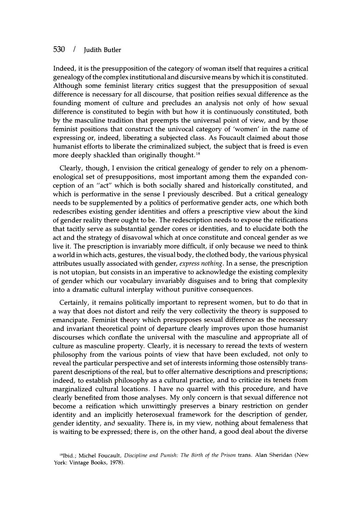Indeed, it is the presupposition of the category of woman itself that requires a critical genealogy of the complex institutional and discursive means by which it is constituted. Although some feminist literary critics suggest that the presupposition of sexual difference is necessary for all discourse, that position reifies sexual difference as the founding moment of culture and precludes an analysis not only of how sexual difference is constituted to begin with but how it is continuously constituted, both by the masculine tradition that preempts the universal point of view, and by those feminist positions that construct the univocal category of 'women' in the name of expressing or, indeed, liberating a subjected class. As Foucault claimed about those humanist efforts to liberate the criminalized subject, the subject that is freed is even more deeply shackled than originally thought.<sup>18</sup>

Clearly, though, I envision the critical genealogy of gender to rely on a phenomenological set of presuppositions, most important among them the expanded conception of an "act" which is both socially shared and historically constituted, and which is performative in the sense I previously described. But a critical genealogy needs to be supplemented by a politics of performative gender acts, one which both redescribes existing gender identities and offers a prescriptive view about the kind of gender reality there ought to be. The redescription needs to expose the reifications that tacitly serve as substantial gender cores or identities, and to elucidate both the act and the strategy of disavowal which at once constitute and conceal gender as we live it. The prescription is invariably more difficult, if only because we need to think a world in which acts, gestures, the visual body, the clothed body, the various physical attributes usually associated with gender, *express* nothing. In a sense, the prescription is not utopian, but consists in an imperative to acknowledge the existing complexity of gender which our vocabulary invariably disguises and to bring that complexity into a dramatic cultural interplay without punitive consequences.

Certainly, it remains politically important to represent women, but to do that in a way that does not distort and reify the very collectivity the theory is supposed to emancipate. Feminist theory which presupposes sexual difference as the necessary and invariant theoretical point of departure clearly improves upon those humanist discourses which conflate the universal with the masculine and appropriate all of culture as masculine property. Clearly, it is necessary to reread the texts of western philosophy from the various points of view that have been excluded, not only to reveal the particular perspective and set of interests informing those ostensibly transparent descriptions of the real, but to offer alternative descriptions and prescriptions; indeed, to establish philosophy as a cultural practice, and to criticize its tenets from marginalized cultural locations. I have no quarrel with this procedure, and have clearly benefited from those analyses. My only concern is that sexual difference not become a reification which unwittingly preserves a binary restriction on gender identity and an implicitly heterosexual framework for the description of gender, gender identity, and sexuality. There is, in my view, nothing about femaleness that is waiting to be expressed; there is, on the other hand, a good deal about the diverse

<sup>&</sup>lt;sup>18</sup>Ibid.; Michel Foucault, *Discipline and Punish: The Birth of the Prison trans. Alan Sheridan (New* York: Vintage Books, 1978).